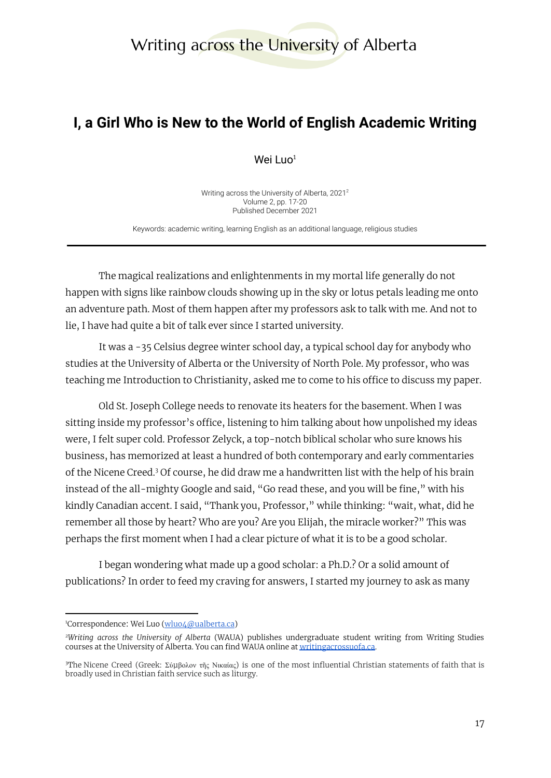# Writing across the University of Alberta

# **I, a Girl Who is New to the World of English Academic Writing**

Wei Luo $1$ 

Writing across the University of Alberta, 2021 2 Volume 2, pp. 17-20 Published December 2021

Keywords: academic writing, learning English as an additional language, religious studies

The magical realizations and enlightenments in my mortal life generally do not happen with signs like rainbow clouds showing up in the sky or lotus petals leading me onto an adventure path. Most of them happen after my professors ask to talk with me. And not to lie, I have had quite a bit of talk ever since I started university.

It was a -35 Celsius degree winter school day, a typical school day for anybody who studies at the University of Alberta or the University of North Pole. My professor, who was teaching me Introduction to Christianity, asked me to come to his office to discuss my paper.

Old St. Joseph College needs to renovate its heaters for the basement. When I was sitting inside my professor's office, listening to him talking about how unpolished my ideas were, I felt super cold. Professor Zelyck, a top-notch biblical scholar who sure knows his business, has memorized at least a hundred of both contemporary and early commentaries of the Nicene Creed. $3$  Of course, he did draw me a handwritten list with the help of his brain instead of the all-mighty Google and said, "Go read these, and you will be fine," with his kindly Canadian accent. I said, "Thank you, Professor," while thinking: "wait, what, did he remember all those by heart? Who are you? Are you Elijah, the miracle worker?" This was perhaps the first moment when I had a clear picture of what it is to be a good scholar.

I began wondering what made up a good scholar: a Ph.D.? Or a solid amount of publications? In order to feed my craving for answers, I started my journey to ask as many

<sup>&</sup>lt;sup>1</sup>Correspondence: Wei Luo [\(wluo4@ualberta.ca\)](mailto:wluo4@ualberta.ca)

*<sup>2</sup>Writing across the University of Alberta* (WAUA) publishes undergraduate student writing from Writing Studies courses at the University of Alberta. You can find WAUA online at [writingacrossuofa.ca.](https://writingacrossuofa.ca/)

<sup>&</sup>lt;sup>3</sup>The Nicene Creed (Greek: Σύμβολον τῆς Νικαίας) is one of the most influential Christian statements of faith that is broadly used in Christian faith service such as liturgy.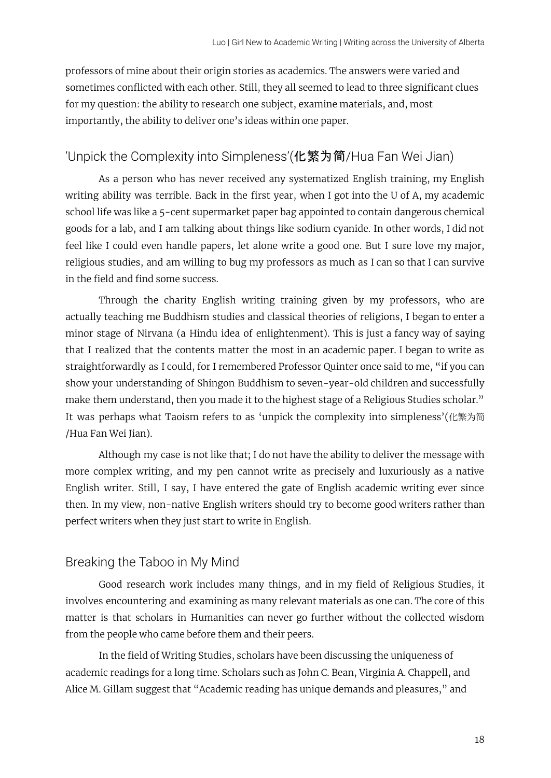professors of mine about their origin stories as academics. The answers were varied and sometimes conflicted with each other. Still, they all seemed to lead to three significant clues for my question: the ability to research one subject, examine materials, and, most importantly, the ability to deliver one's ideas within one paper.

## 'Unpick the Complexity into Simpleness'(化繁为简/Hua Fan Wei Jian)

As a person who has never received any systematized English training, my English writing ability was terrible. Back in the first year, when I got into the U of A, my academic school life was like a 5-cent supermarket paper bag appointed to contain dangerous chemical goods for a lab, and I am talking about things like sodium cyanide. In other words, I did not feel like I could even handle papers, let alone write a good one. But I sure love my major, religious studies, and am willing to bug my professors as much as I can so that I can survive in the field and find some success.

Through the charity English writing training given by my professors, who are actually teaching me Buddhism studies and classical theories of religions, I began to enter a minor stage of Nirvana (a Hindu idea of enlightenment). This is just a fancy way of saying that I realized that the contents matter the most in an academic paper. I began to write as straightforwardly as I could, for I remembered Professor Quinter once said to me, "if you can show your understanding of Shingon Buddhism to seven-year-old children and successfully make them understand, then you made it to the highest stage of a Religious Studies scholar." It was perhaps what Taoism refers to as 'unpick the complexity into simpleness'(化繁为简 /Hua Fan Wei Jian).

Although my case is not like that; I do not have the ability to deliver the message with more complex writing, and my pen cannot write as precisely and luxuriously as a native English writer. Still, I say, I have entered the gate of English academic writing ever since then. In my view, non-native English writers should try to become good writers rather than perfect writers when they just start to write in English.

#### Breaking the Taboo in My Mind

Good research work includes many things, and in my field of Religious Studies, it involves encountering and examining as many relevant materials as one can. The core of this matter is that scholars in Humanities can never go further without the collected wisdom from the people who came before them and their peers.

In the field of Writing Studies, scholars have been discussing the uniqueness of academic readings for a long time. Scholars such as John C. Bean, Virginia A. Chappell, and Alice M. Gillam suggest that "Academic reading has unique demands and pleasures," and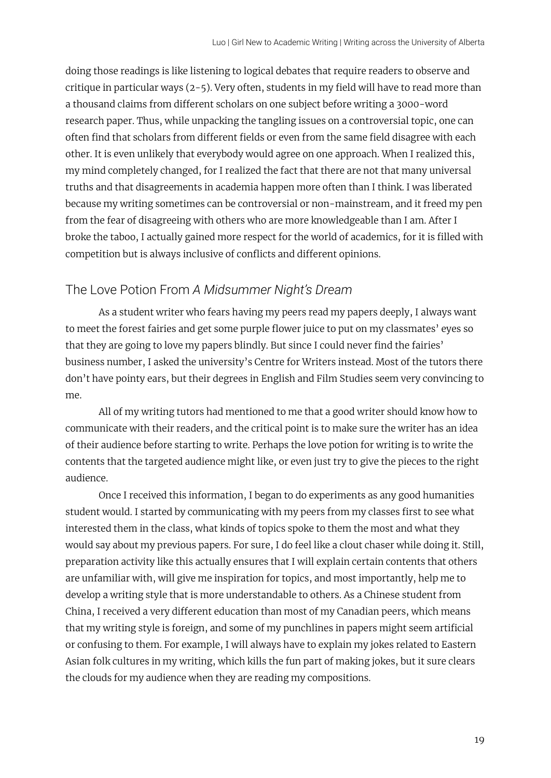doing those readings is like listening to logical debates that require readers to observe and critique in particular ways (2-5). Very often, students in my field will have to read more than a thousand claims from different scholars on one subject before writing a 3000-word research paper. Thus, while unpacking the tangling issues on a controversial topic, one can often find that scholars from different fields or even from the same field disagree with each other. It is even unlikely that everybody would agree on one approach. When I realized this, my mind completely changed, for I realized the fact that there are not that many universal truths and that disagreements in academia happen more often than I think. I was liberated because my writing sometimes can be controversial or non-mainstream, and it freed my pen from the fear of disagreeing with others who are more knowledgeable than I am. After I broke the taboo, I actually gained more respect for the world of academics, for it is filled with competition but is always inclusive of conflicts and different opinions.

#### The Love Potion From *A Midsummer Night's Dream*

As a student writer who fears having my peers read my papers deeply, I always want to meet the forest fairies and get some purple flower juice to put on my classmates' eyes so that they are going to love my papers blindly. But since I could never find the fairies' business number, I asked the university's Centre for Writers instead. Most of the tutors there don't have pointy ears, but their degrees in English and Film Studies seem very convincing to me.

All of my writing tutors had mentioned to me that a good writer should know how to communicate with their readers, and the critical point is to make sure the writer has an idea of their audience before starting to write. Perhaps the love potion for writing is to write the contents that the targeted audience might like, or even just try to give the pieces to the right audience.

Once I received this information, I began to do experiments as any good humanities student would. I started by communicating with my peers from my classes first to see what interested them in the class, what kinds of topics spoke to them the most and what they would say about my previous papers. For sure, I do feel like a clout chaser while doing it. Still, preparation activity like this actually ensures that I will explain certain contents that others are unfamiliar with, will give me inspiration for topics, and most importantly, help me to develop a writing style that is more understandable to others. As a Chinese student from China, I received a very different education than most of my Canadian peers, which means that my writing style is foreign, and some of my punchlines in papers might seem artificial or confusing to them. For example, I will always have to explain my jokes related to Eastern Asian folk cultures in my writing, which kills the fun part of making jokes, but it sure clears the clouds for my audience when they are reading my compositions.